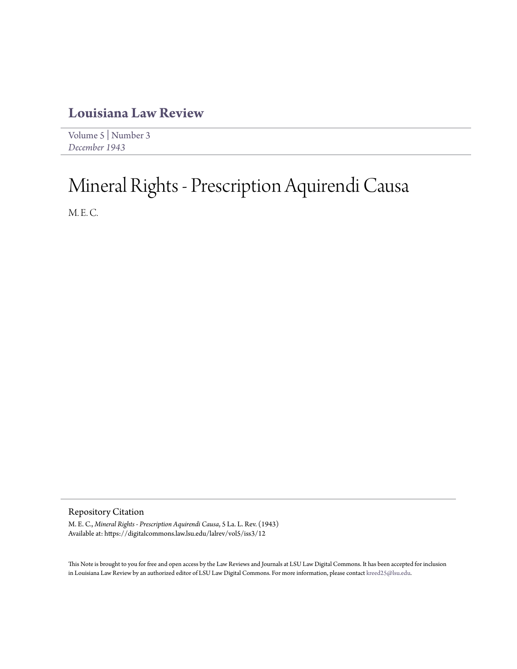## **[Louisiana Law Review](https://digitalcommons.law.lsu.edu/lalrev)**

[Volume 5](https://digitalcommons.law.lsu.edu/lalrev/vol5) | [Number 3](https://digitalcommons.law.lsu.edu/lalrev/vol5/iss3) *[December 1943](https://digitalcommons.law.lsu.edu/lalrev/vol5/iss3)*

## Mineral Rights - Prescription Aquirendi Causa

M. E. C.

Repository Citation

M. E. C., *Mineral Rights - Prescription Aquirendi Causa*, 5 La. L. Rev. (1943) Available at: https://digitalcommons.law.lsu.edu/lalrev/vol5/iss3/12

This Note is brought to you for free and open access by the Law Reviews and Journals at LSU Law Digital Commons. It has been accepted for inclusion in Louisiana Law Review by an authorized editor of LSU Law Digital Commons. For more information, please contact [kreed25@lsu.edu](mailto:kreed25@lsu.edu).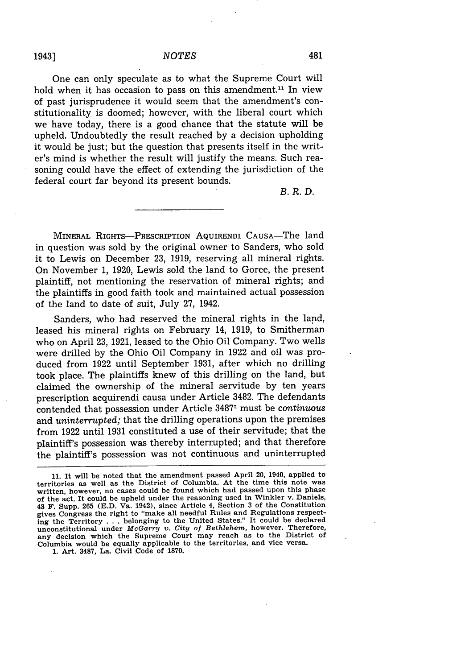One can only speculate as to what the Supreme Court will hold when it has occasion to pass on this amendment.<sup>11</sup> In view of past jurisprudence it would seem that the amendment's constitutionality is doomed; however, with the liberal court which we have today, there is a good chance that the statute will be upheld. Undoubtedly the result reached by a decision upholding it would be just; but the question that presents itself in the writer's mind is whether the result will justify the means. Such reasoning could have the effect of extending the jurisdiction of the federal court far beyond its present bounds.

*B.R.D.*

MINERAL RIGHTS-PRESCRIPTION AQUIRENDI CAUSA-The land in question was sold by the original owner to Sanders, who sold it to Lewis on December 23, 1919, reserving all mineral rights. On November 1, 1920, Lewis sold the land to Goree, the present plaintiff, not mentioning the reservation of mineral rights; and the plaintiffs in good faith took and maintained actual possession of the land to date of suit, July 27, 1942.

Sanders, who had reserved the mineral rights in the land, leased his mineral rights on February 14, 1919, to Smitherman who on April 23, 1921, leased to the Ohio Oil Company. Two wells were drilled by the Ohio Oil Company in 1922 and oil was produced from 1922 until September 1931, after which no drilling took place. The plaintiffs knew of this drilling on the land, but claimed the ownership of the mineral servitude by ten years prescription acquirendi causa under Article 3482. The defendants contended that possession under Article 34871 must be *continuous* and *uninterrupted;* that the drilling operations upon the premises from 1922 until 1931 constituted a use of their servitude; that the plaintiff's possession was thereby interrupted; and that therefore the plaintiff's possession was not continuous and uninterrupted

**1.** Art. **3487, La.** Civil Code of **1870.**

1943]

**<sup>11.</sup>** It will be noted that the amendment passed April 20, 1940, applied to territories as well as the District of Columbia. At the time this note was written, however, no cases could be found which had passed upon this phase of the act. It could be upheld under the reasoning used in Winkler v. Daniels, 43 F. Supp. **265 (E.D.** Va. 1942), since Article 4, Section **3** of the Constitution gives Congress the right to "make all needful Rules and Regulations respecting the Territory . . . belonging to the United States." It could be declared **unconstitutional under** *McGarry v. City of Bethlehem,* however. Therefore, **any** decision which the Supreme Court **may** reach as to the District of Columbia would be equally applicable to the territories, and vice versa.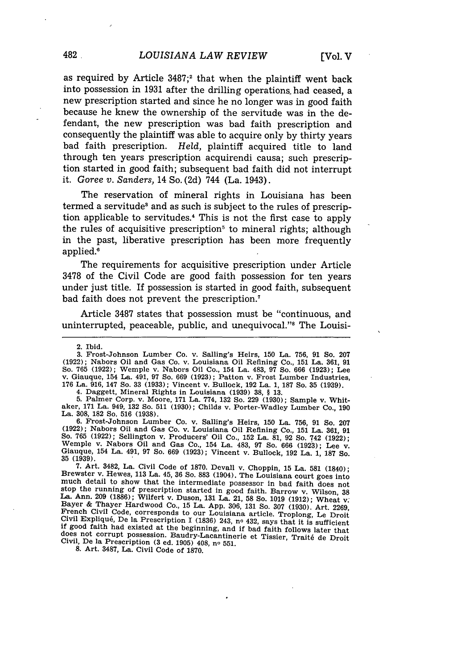as required by Article  $3487$ ;<sup>2</sup> that when the plaintiff went back into possession in 1931 after the drilling operations, had ceased, a new prescription started and since he no longer was in good faith because he knew the ownership of the servitude was in the defendant, the new prescription was bad faith prescription and consequently the plaintiff was able to acquire only by thirty years bad faith prescription. *Held,* plaintiff acquired title to land through ten years prescription acquirendi causa; such prescription started in good faith; subsequent bad faith did not interrupt it. *Goree v. Sanders,* 14 So. (2d) 744 (La. 1943).

The reservation of mineral rights in Louisiana has been termed a servitude<sup>s</sup> and as such is subject to the rules of prescription applicable to servitudes.4 This is not the first case to apply the rules of acquisitive prescription<sup> $5$ </sup> to mineral rights; although in the past, liberative prescription has been more frequently applied."

The requirements for acquisitive prescription under Article 3478 of the Civil Code are good faith possession for ten years under just title. If possession is started in good faith, subsequent bad faith does not prevent the prescription.7

Article 3487 states that possession must be "continuous, and uninterrupted, peaceable, public, and unequivocal."<sup>8</sup> The Louisi-

3. Frost-Johnson Lumber Co. v. Sailing's Heirs, 150 La. 756, 91 So. 207 (1922); Nabors Oil and Gas Co. v. Louisiana Oil Refining Co., 151 La. 361, 91 So. 765 (1922); Wemple v. Nabors Oil Co., 154 La. 483, 97 So. 666 (1923); Lee v. Giauque, 154 La. 491, 97 So. 669 (1923); Patton v. Frost Lumber Industries, v. Giauque, 154 La. 491, 97 So. 669 (1923); Patton v. Frost Lumber Industries, 176 La. 916, 147 So. 33 (1933); Vincent v. Bullock, 192 La. 1, 187 So. 35 (1939).

4. Daggett, Mineral Rights in Louisiana (1939) **38, § 13.**

5. Palmer Corp. v. Moore, **171** La. 774, 132 So. 229 (1930); Sample v. Whit-aker, **171** La. 949, 132 So. 511 (1930); Childs v. Porter-Wadley Lumber Co., 190 La. 308, 182 So. 516 (1938).

6. Frost-Johnson Lumber Co. v. Sailing's Heirs, 150 La. 756, 91 So. 207 (1922); Nabors Oil and Gas Co. v. Louisiana Oil Refining Co., 151 La. 361, 91<br>So. 765 (1922); Sellington v. Producers' Oil Co., 152 La. 81, 92 So. 742 (1922);<br>Wemple v. Nabors Oil and Gas Co., 154 La. 483, 97 So. 666 (192 **35** (1939).

7. Art. 3482, La. Civil Code of 1870. Devall v. Choppin, 15 La. 581 (1840); Brewster v. Hewes, 113 La. 45, **36** So. 883 (1904). The Louisiana court goes into much detail to show that the intermediate possessor in bad faith does not stop the running of prescription started in good faith. Barrow v. Wilson, **<sup>38</sup>** La. Ann. 209 (1886); Wilfert v. Duson, 131 La. 21, 58 So. 1019 (1912); Wheat v. Edycr de Filayer Franciscolo Co., 15 La. App. 306, 131 So. 307 (1930). Art. 2269<br>French Civil Code, corresponds to our Louisiana article. Troplong, Le Droit Civil Expliqué, De la Prescription I (1836) 243, nº 432, says that it is sufficient if good faith had existed at the beginning, and if bad faith follows later that does not corrupt possession. Baudry-Lacantinerie et Tissier, Trait6 de Droit Civil, De la Prescription (3 ed. 1905) 408, no 551.

**8.** Art. **3487,** La. Civil Code of **1870.**

<sup>2.</sup> Ibid.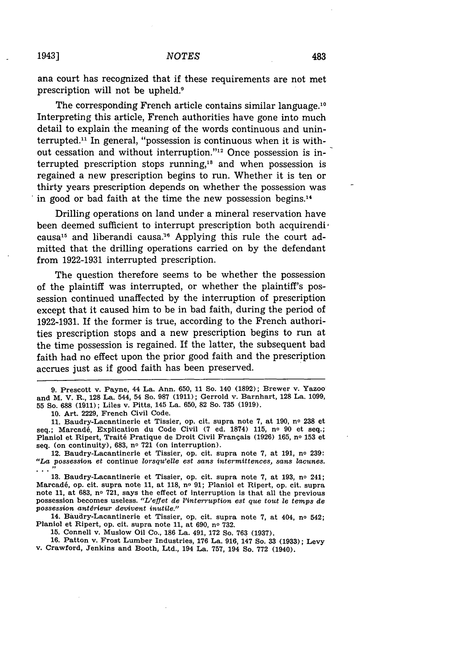ana court has recognized that if these requirements are not met prescription will not be upheld.<sup>9</sup>

The corresponding French article contains similar language.<sup>10</sup> Interpreting this article, French authorities have gone into much detail to explain the meaning of the words continuous and uninterrupted." In general, "possession is continuous when it is without cessation and without interruption."<sup>12</sup> Once possession is interrupted prescription stops running,<sup>18</sup> and when possession is regained a new prescription begins to run. Whether it is ten or thirty years prescription depends on whether the possession was in good or bad faith at the time the new possession begins. $14$ 

Drilling operations on land under a mineral reservation have been deemed sufficient to interrupt prescription both acquirendi<sup>6</sup> causa<sup>15</sup> and liberandi causa.<sup>16</sup> Applying this rule the court admitted that the drilling operations carried on **by** the defendant from **1922-1931** interrupted prescription.

The question therefore seems to be whether the possession of the plaintiff was interrupted, or whether the plaintiff's possession continued unaffected **by** the interruption of prescription except that it caused him to be in bad faith, during the period of **1922-1931.** If the former is true, according to the French authorities prescription stops and a new prescription begins to run at the time possession is regained. If the latter, the subsequent bad faith had no effect upon the prior good faith and the prescription accrues just as if good faith has been preserved.

**9.** Prescott v. Payne, 44 La. Ann. **650, 11** So. 140 **(1892);** Brewer v. Yazoo and M. V. R., **128** La. 544, 54 So. **987 (1911);** Gerrold v. Barnhart, **128** La. **1099, 55** So. **688 (1911);** Liles v. Pitts, 145 La. **650, 82** So. **735 (1919).**

**10.** Art. **2229,** French Civil Code.

**11.** Baudry-Lacantinerie et Tissier, op. cit. supra note **7,** at **190,** no **238** et seq.; Marcad6, Explication du Code Civil **(7** ed. **1874) 115,** no **90** et seq.; Planiol et Ripert, Trait6 Pratique de Droit Civil Frangais **(1926) 165, no 153** et seq. (on continuity), **683, no 721** (on interruption).

12. Baudry-Lacantinerie et Tissier, op. cit. supra note **7,** at **191,** no **239:** *"La possession et* continue *lorsqu'elle est sans intermittences, sans lacunes.* **<sup>11</sup>**

**13.** Baudry-Lacantinerie et Tissier, op. cit. supra note **7,** at **193,** no 241; Marcadé, op. cit. supra note 11, at 118, nº 91; Planiol et Ripert, op. cit. supra note **11,** at **683, no 721,** says the effect of interruption is that all the previous possession becomes useless. "L'effet de *l'interruption est que tout* le *temps de possession antdrieur devivent inutile."*

14. Baudry-Lacantinerie et Tissier, op. cit. supra note **7,** at 404, no 542; Planiol et Ripert, op. cit. supra note **11,** at **690, no 732.**

**15.** Connell v. Muslow Oil Co., **186** La. 491, **172** So. **763 (1937).**

**16.** Patton v. Frost Lumber Industries, **176** La. **916, 147** So. **33 (1933);** Levy v. Crawford, Jenkins and Booth, Ltd., 194 La. **757,** 194 So. **772** (1940).